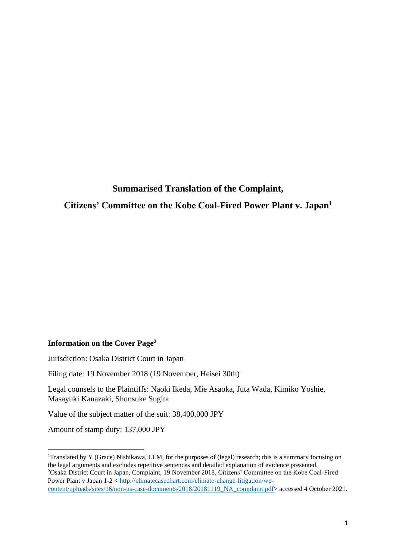# **Summarised Translation of the Complaint, Citizens' Committee on the Kobe Coal-Fired Power Plant v. Japan<sup>1</sup>**

#### **Information on the Cover Page<sup>2</sup>**

Jurisdiction: Osaka District Court in Japan

Filing date: 19 November 2018 (19 November, Heisei 30th)

Legal counsels to the Plaintiffs: Naoki Ikeda, Mie Asaoka, Juta Wada, Kimiko Yoshie, Masayuki Kanazaki, Shunsuke Sugita

Value of the subject matter of the suit: 38,400,000 JPY

Amount of stamp duty: 137,000 JPY

<sup>&</sup>lt;sup>1</sup>Translated by Y (Grace) Nishikawa, LLM, for the purposes of (legal) research; this is a summary focusing on the legal arguments and excludes repetitive sentences and detailed explanation of evidence presented. <sup>2</sup>Osaka District Court in Japan, Complaint, 19 November 2018, Citizens' Committee on the Kobe Coal-Fired Power Plant v Japan 1-2 < [http://climatecasechart.com/climate-change-litigation/wp](http://climatecasechart.com/climate-change-litigation/wp-content/uploads/sites/16/non-us-case-documents/2018/20181119_NA_complaint.pdf)[content/uploads/sites/16/non-us-case-documents/2018/20181119\\_NA\\_complaint.pdf>](http://climatecasechart.com/climate-change-litigation/wp-content/uploads/sites/16/non-us-case-documents/2018/20181119_NA_complaint.pdf) accessed 4 October 2021.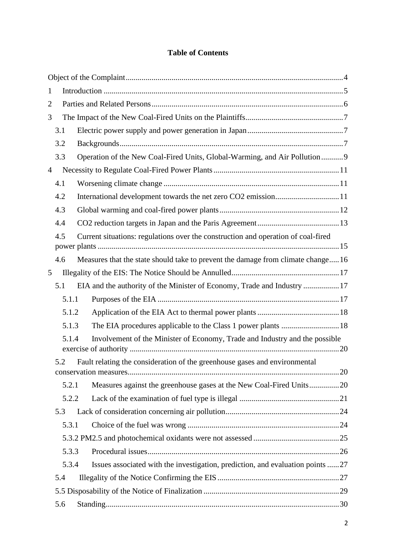## **Table of Contents**

| $\mathbf{1}$   |       |                                                                                   |  |
|----------------|-------|-----------------------------------------------------------------------------------|--|
| $\overline{2}$ |       |                                                                                   |  |
| 3              |       |                                                                                   |  |
|                | 3.1   |                                                                                   |  |
|                | 3.2   |                                                                                   |  |
|                | 3.3   | Operation of the New Coal-Fired Units, Global-Warming, and Air Pollution9         |  |
| $\overline{4}$ |       |                                                                                   |  |
|                | 4.1   |                                                                                   |  |
|                | 4.2   | International development towards the net zero CO2 emission11                     |  |
|                | 4.3   |                                                                                   |  |
|                | 4.4   |                                                                                   |  |
|                | 4.5   | Current situations: regulations over the construction and operation of coal-fired |  |
|                |       |                                                                                   |  |
|                | 4.6   | Measures that the state should take to prevent the damage from climate change16   |  |
| 5              |       |                                                                                   |  |
|                | 5.1   | EIA and the authority of the Minister of Economy, Trade and Industry 17           |  |
|                | 5.1.1 |                                                                                   |  |
|                | 5.1.2 |                                                                                   |  |
|                | 5.1.3 | The EIA procedures applicable to the Class 1 power plants  18                     |  |
|                | 5.1.4 | Involvement of the Minister of Economy, Trade and Industry and the possible       |  |
|                | 5.2   | Fault relating the consideration of the greenhouse gases and environmental        |  |
|                |       |                                                                                   |  |
|                | 5.2.1 | Measures against the greenhouse gases at the New Coal-Fired Units20               |  |
|                | 5.2.2 |                                                                                   |  |
|                | 5.3   |                                                                                   |  |
|                | 5.3.1 |                                                                                   |  |
|                |       |                                                                                   |  |
|                | 5.3.3 |                                                                                   |  |
|                | 5.3.4 | Issues associated with the investigation, prediction, and evaluation points 27    |  |
|                | 5.4   |                                                                                   |  |
|                |       |                                                                                   |  |
|                | 5.6   |                                                                                   |  |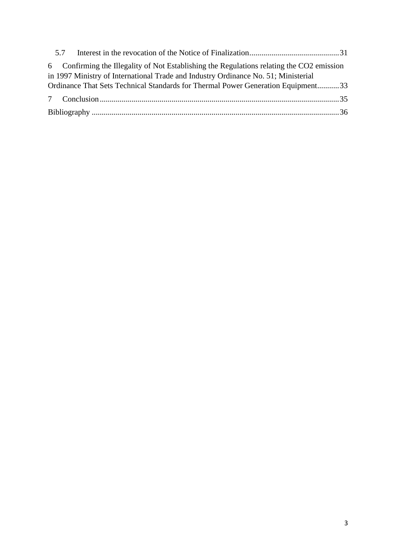| 5.7 |                                                                                                                                                                                 |  |
|-----|---------------------------------------------------------------------------------------------------------------------------------------------------------------------------------|--|
|     | 6 Confirming the Illegality of Not Establishing the Regulations relating the CO2 emission<br>in 1997 Ministry of International Trade and Industry Ordinance No. 51; Ministerial |  |
|     | Ordinance That Sets Technical Standards for Thermal Power Generation Equipment33                                                                                                |  |
|     |                                                                                                                                                                                 |  |
|     |                                                                                                                                                                                 |  |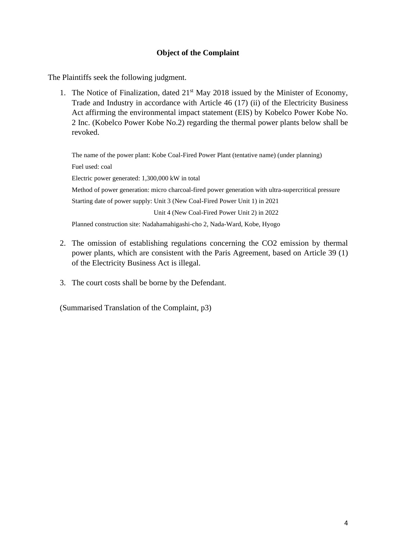## **Object of the Complaint**

<span id="page-3-0"></span>The Plaintiffs seek the following judgment.

1. The Notice of Finalization, dated  $21<sup>st</sup>$  May 2018 issued by the Minister of Economy, Trade and Industry in accordance with Article 46 (17) (ii) of the Electricity Business Act affirming the environmental impact statement (EIS) by Kobelco Power Kobe No. 2 Inc. (Kobelco Power Kobe No.2) regarding the thermal power plants below shall be revoked.

The name of the power plant: Kobe Coal-Fired Power Plant (tentative name) (under planning) Fuel used: coal Electric power generated: 1,300,000 kW in total Method of power generation: micro charcoal-fired power generation with ultra-supercritical pressure Starting date of power supply: Unit 3 (New Coal-Fired Power Unit 1) in 2021 Unit 4 (New Coal-Fired Power Unit 2) in 2022 Planned construction site: Nadahamahigashi-cho 2, Nada-Ward, Kobe, Hyogo

- 2. The omission of establishing regulations concerning the CO2 emission by thermal power plants, which are consistent with the Paris Agreement, based on Article 39 (1) of the Electricity Business Act is illegal.
- 3. The court costs shall be borne by the Defendant.

(Summarised Translation of the Complaint, p3)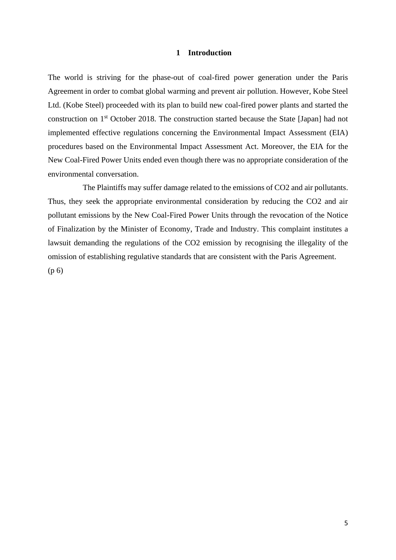#### **1 Introduction**

<span id="page-4-0"></span>The world is striving for the phase-out of coal-fired power generation under the Paris Agreement in order to combat global warming and prevent air pollution. However, Kobe Steel Ltd. (Kobe Steel) proceeded with its plan to build new coal-fired power plants and started the construction on 1st October 2018. The construction started because the State [Japan] had not implemented effective regulations concerning the Environmental Impact Assessment (EIA) procedures based on the Environmental Impact Assessment Act. Moreover, the EIA for the New Coal-Fired Power Units ended even though there was no appropriate consideration of the environmental conversation.

The Plaintiffs may suffer damage related to the emissions of CO2 and air pollutants. Thus, they seek the appropriate environmental consideration by reducing the CO2 and air pollutant emissions by the New Coal-Fired Power Units through the revocation of the Notice of Finalization by the Minister of Economy, Trade and Industry. This complaint institutes a lawsuit demanding the regulations of the CO2 emission by recognising the illegality of the omission of establishing regulative standards that are consistent with the Paris Agreement. (p 6)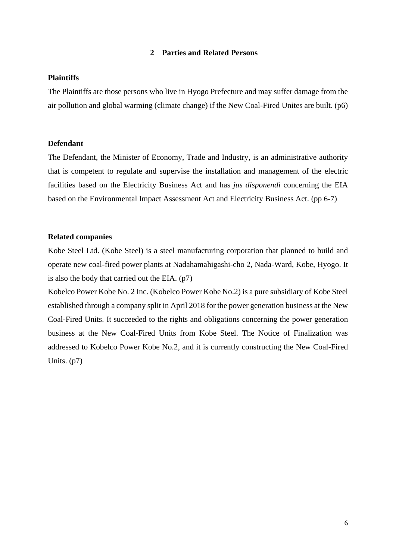#### **2 Parties and Related Persons**

#### <span id="page-5-0"></span>**Plaintiffs**

The Plaintiffs are those persons who live in Hyogo Prefecture and may suffer damage from the air pollution and global warming (climate change) if the New Coal-Fired Unites are built. (p6)

#### **Defendant**

The Defendant, the Minister of Economy, Trade and Industry, is an administrative authority that is competent to regulate and supervise the installation and management of the electric facilities based on the Electricity Business Act and has *jus disponendi* concerning the EIA based on the Environmental Impact Assessment Act and Electricity Business Act. (pp 6-7)

#### **Related companies**

Kobe Steel Ltd. (Kobe Steel) is a steel manufacturing corporation that planned to build and operate new coal-fired power plants at Nadahamahigashi-cho 2, Nada-Ward, Kobe, Hyogo. It is also the body that carried out the EIA. (p7)

Kobelco Power Kobe No. 2 Inc. (Kobelco Power Kobe No.2) is a pure subsidiary of Kobe Steel established through a company split in April 2018 for the power generation business at the New Coal-Fired Units. It succeeded to the rights and obligations concerning the power generation business at the New Coal-Fired Units from Kobe Steel. The Notice of Finalization was addressed to Kobelco Power Kobe No.2, and it is currently constructing the New Coal-Fired Units. (p7)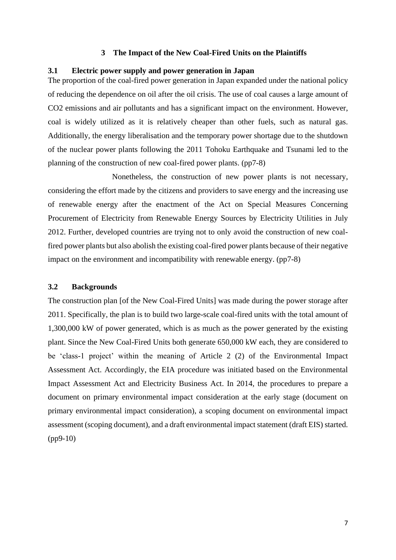#### **3 The Impact of the New Coal-Fired Units on the Plaintiffs**

#### <span id="page-6-1"></span><span id="page-6-0"></span>**3.1 Electric power supply and power generation in Japan**

The proportion of the coal-fired power generation in Japan expanded under the national policy of reducing the dependence on oil after the oil crisis. The use of coal causes a large amount of CO2 emissions and air pollutants and has a significant impact on the environment. However, coal is widely utilized as it is relatively cheaper than other fuels, such as natural gas. Additionally, the energy liberalisation and the temporary power shortage due to the shutdown of the nuclear power plants following the 2011 Tohoku Earthquake and Tsunami led to the planning of the construction of new coal-fired power plants. (pp7-8)

Nonetheless, the construction of new power plants is not necessary, considering the effort made by the citizens and providers to save energy and the increasing use of renewable energy after the enactment of the Act on Special Measures Concerning Procurement of Electricity from Renewable Energy Sources by Electricity Utilities in July 2012. Further, developed countries are trying not to only avoid the construction of new coalfired power plants but also abolish the existing coal-fired power plants because of their negative impact on the environment and incompatibility with renewable energy. (pp7-8)

#### <span id="page-6-2"></span>**3.2 Backgrounds**

The construction plan [of the New Coal-Fired Units] was made during the power storage after 2011. Specifically, the plan is to build two large-scale coal-fired units with the total amount of 1,300,000 kW of power generated, which is as much as the power generated by the existing plant. Since the New Coal-Fired Units both generate 650,000 kW each, they are considered to be 'class-1 project' within the meaning of Article 2 (2) of the Environmental Impact Assessment Act. Accordingly, the EIA procedure was initiated based on the Environmental Impact Assessment Act and Electricity Business Act. In 2014, the procedures to prepare a document on primary environmental impact consideration at the early stage (document on primary environmental impact consideration), a scoping document on environmental impact assessment (scoping document), and a draft environmental impact statement (draft EIS) started. (pp9-10)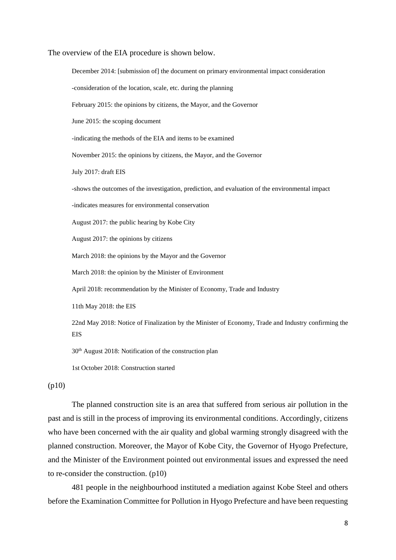The overview of the EIA procedure is shown below.

December 2014: [submission of] the document on primary environmental impact consideration -consideration of the location, scale, etc. during the planning February 2015: the opinions by citizens, the Mayor, and the Governor June 2015: the scoping document -indicating the methods of the EIA and items to be examined November 2015: the opinions by citizens, the Mayor, and the Governor July 2017: draft EIS -shows the outcomes of the investigation, prediction, and evaluation of the environmental impact -indicates measures for environmental conservation August 2017: the public hearing by Kobe City August 2017: the opinions by citizens March 2018: the opinions by the Mayor and the Governor March 2018: the opinion by the Minister of Environment April 2018: recommendation by the Minister of Economy, Trade and Industry 11th May 2018: the EIS 22nd May 2018: Notice of Finalization by the Minister of Economy, Trade and Industry confirming the

EIS

30th August 2018: Notification of the construction plan

1st October 2018: Construction started

(p10)

The planned construction site is an area that suffered from serious air pollution in the past and is still in the process of improving its environmental conditions. Accordingly, citizens who have been concerned with the air quality and global warming strongly disagreed with the planned construction. Moreover, the Mayor of Kobe City, the Governor of Hyogo Prefecture, and the Minister of the Environment pointed out environmental issues and expressed the need to re-consider the construction. (p10)

481 people in the neighbourhood instituted a mediation against Kobe Steel and others before the Examination Committee for Pollution in Hyogo Prefecture and have been requesting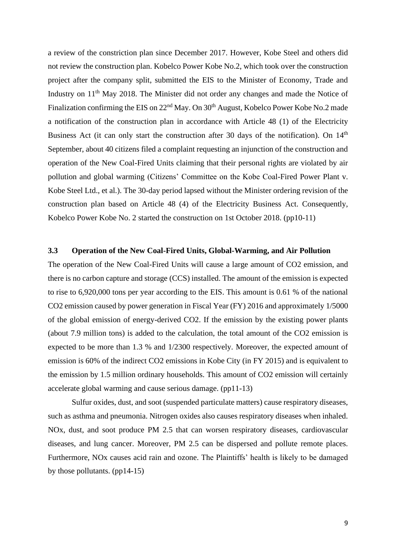a review of the constriction plan since December 2017. However, Kobe Steel and others did not review the construction plan. Kobelco Power Kobe No.2, which took over the construction project after the company split, submitted the EIS to the Minister of Economy, Trade and Industry on 11<sup>th</sup> May 2018. The Minister did not order any changes and made the Notice of Finalization confirming the EIS on 22<sup>nd</sup> May. On 30<sup>th</sup> August, Kobelco Power Kobe No.2 made a notification of the construction plan in accordance with Article 48 (1) of the Electricity Business Act (it can only start the construction after 30 days of the notification). On 14<sup>th</sup> September, about 40 citizens filed a complaint requesting an injunction of the construction and operation of the New Coal-Fired Units claiming that their personal rights are violated by air pollution and global warming (Citizens' Committee on the Kobe Coal-Fired Power Plant v. Kobe Steel Ltd., et al.). The 30-day period lapsed without the Minister ordering revision of the construction plan based on Article 48 (4) of the Electricity Business Act. Consequently, Kobelco Power Kobe No. 2 started the construction on 1st October 2018. (pp10-11)

#### <span id="page-8-0"></span>**3.3 Operation of the New Coal-Fired Units, Global-Warming, and Air Pollution**

The operation of the New Coal-Fired Units will cause a large amount of CO2 emission, and there is no carbon capture and storage (CCS) installed. The amount of the emission is expected to rise to 6,920,000 tons per year according to the EIS. This amount is 0.61 % of the national CO2 emission caused by power generation in Fiscal Year (FY) 2016 and approximately 1/5000 of the global emission of energy-derived CO2. If the emission by the existing power plants (about 7.9 million tons) is added to the calculation, the total amount of the CO2 emission is expected to be more than 1.3 % and 1/2300 respectively. Moreover, the expected amount of emission is 60% of the indirect CO2 emissions in Kobe City (in FY 2015) and is equivalent to the emission by 1.5 million ordinary households. This amount of CO2 emission will certainly accelerate global warming and cause serious damage. (pp11-13)

Sulfur oxides, dust, and soot (suspended particulate matters) cause respiratory diseases, such as asthma and pneumonia. Nitrogen oxides also causes respiratory diseases when inhaled. NOx, dust, and soot produce PM 2.5 that can worsen respiratory diseases, cardiovascular diseases, and lung cancer. Moreover, PM 2.5 can be dispersed and pollute remote places. Furthermore, NOx causes acid rain and ozone. The Plaintiffs' health is likely to be damaged by those pollutants. (pp14-15)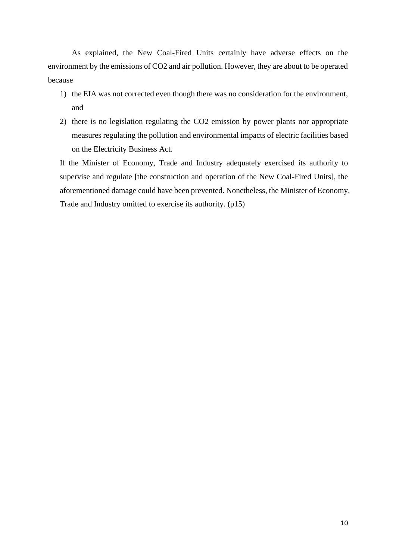As explained, the New Coal-Fired Units certainly have adverse effects on the environment by the emissions of CO2 and air pollution. However, they are about to be operated because

- 1) the EIA was not corrected even though there was no consideration for the environment, and
- 2) there is no legislation regulating the CO2 emission by power plants nor appropriate measures regulating the pollution and environmental impacts of electric facilities based on the Electricity Business Act.

If the Minister of Economy, Trade and Industry adequately exercised its authority to supervise and regulate [the construction and operation of the New Coal-Fired Units], the aforementioned damage could have been prevented. Nonetheless, the Minister of Economy, Trade and Industry omitted to exercise its authority. (p15)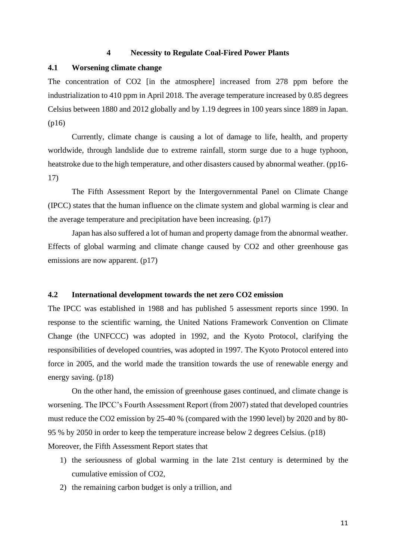#### **4 Necessity to Regulate Coal-Fired Power Plants**

#### <span id="page-10-1"></span><span id="page-10-0"></span>**4.1 Worsening climate change**

The concentration of CO2 [in the atmosphere] increased from 278 ppm before the industrialization to 410 ppm in April 2018. The average temperature increased by 0.85 degrees Celsius between 1880 and 2012 globally and by 1.19 degrees in 100 years since 1889 in Japan. (p16)

Currently, climate change is causing a lot of damage to life, health, and property worldwide, through landslide due to extreme rainfall, storm surge due to a huge typhoon, heatstroke due to the high temperature, and other disasters caused by abnormal weather. (pp16- 17)

The Fifth Assessment Report by the Intergovernmental Panel on Climate Change (IPCC) states that the human influence on the climate system and global warming is clear and the average temperature and precipitation have been increasing. (p17)

Japan has also suffered a lot of human and property damage from the abnormal weather. Effects of global warming and climate change caused by CO2 and other greenhouse gas emissions are now apparent. (p17)

### <span id="page-10-2"></span>**4.2 International development towards the net zero CO2 emission**

The IPCC was established in 1988 and has published 5 assessment reports since 1990. In response to the scientific warning, the United Nations Framework Convention on Climate Change (the UNFCCC) was adopted in 1992, and the Kyoto Protocol, clarifying the responsibilities of developed countries, was adopted in 1997. The Kyoto Protocol entered into force in 2005, and the world made the transition towards the use of renewable energy and energy saving. (p18)

On the other hand, the emission of greenhouse gases continued, and climate change is worsening. The IPCC's Fourth Assessment Report (from 2007) stated that developed countries must reduce the CO2 emission by 25-40 % (compared with the 1990 level) by 2020 and by 80- 95 % by 2050 in order to keep the temperature increase below 2 degrees Celsius. (p18) Moreover, the Fifth Assessment Report states that

- 1) the seriousness of global warming in the late 21st century is determined by the cumulative emission of CO2,
- 2) the remaining carbon budget is only a trillion, and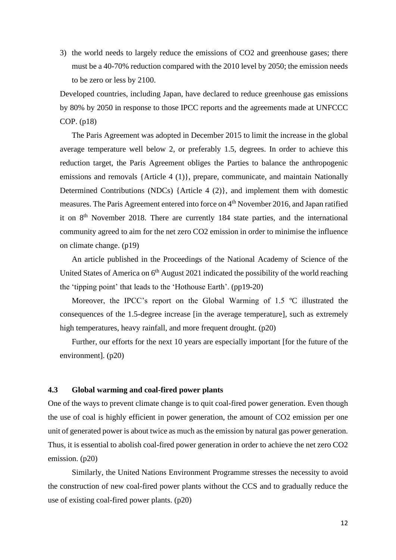3) the world needs to largely reduce the emissions of CO2 and greenhouse gases; there must be a 40-70% reduction compared with the 2010 level by 2050; the emission needs to be zero or less by 2100.

Developed countries, including Japan, have declared to reduce greenhouse gas emissions by 80% by 2050 in response to those IPCC reports and the agreements made at UNFCCC COP. (p18)

The Paris Agreement was adopted in December 2015 to limit the increase in the global average temperature well below 2, or preferably 1.5, degrees. In order to achieve this reduction target, the Paris Agreement obliges the Parties to balance the anthropogenic emissions and removals {Article 4 (1)}, prepare, communicate, and maintain Nationally Determined Contributions (NDCs) {Article 4 (2)}, and implement them with domestic measures. The Paris Agreement entered into force on 4<sup>th</sup> November 2016, and Japan ratified it on  $8<sup>th</sup>$  November 2018. There are currently 184 state parties, and the international community agreed to aim for the net zero CO2 emission in order to minimise the influence on climate change. (p19)

An article published in the Proceedings of the National Academy of Science of the United States of America on  $6<sup>th</sup>$  August 2021 indicated the possibility of the world reaching the 'tipping point' that leads to the 'Hothouse Earth'. (pp19-20)

Moreover, the IPCC's report on the Global Warming of 1.5 °C illustrated the consequences of the 1.5-degree increase [in the average temperature], such as extremely high temperatures, heavy rainfall, and more frequent drought. (p20)

Further, our efforts for the next 10 years are especially important [for the future of the environment]. (p20)

#### <span id="page-11-0"></span>**4.3 Global warming and coal-fired power plants**

One of the ways to prevent climate change is to quit coal-fired power generation. Even though the use of coal is highly efficient in power generation, the amount of CO2 emission per one unit of generated power is about twice as much as the emission by natural gas power generation. Thus, it is essential to abolish coal-fired power generation in order to achieve the net zero CO2 emission. (p20)

Similarly, the United Nations Environment Programme stresses the necessity to avoid the construction of new coal-fired power plants without the CCS and to gradually reduce the use of existing coal-fired power plants. (p20)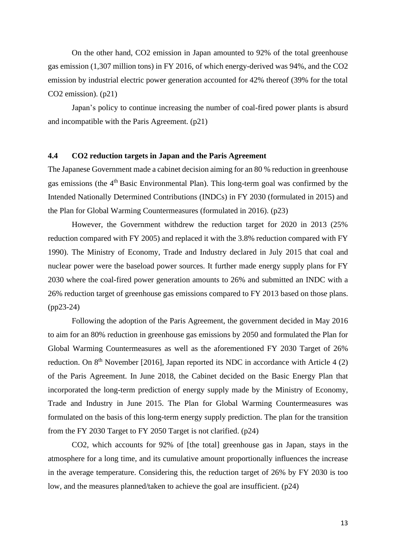On the other hand, CO2 emission in Japan amounted to 92% of the total greenhouse gas emission (1,307 million tons) in FY 2016, of which energy-derived was 94%, and the CO2 emission by industrial electric power generation accounted for 42% thereof (39% for the total CO2 emission). (p21)

Japan's policy to continue increasing the number of coal-fired power plants is absurd and incompatible with the Paris Agreement. (p21)

#### <span id="page-12-0"></span>**4.4 CO2 reduction targets in Japan and the Paris Agreement**

The Japanese Government made a cabinet decision aiming for an 80 % reduction in greenhouse gas emissions (the 4<sup>th</sup> Basic Environmental Plan). This long-term goal was confirmed by the Intended Nationally Determined Contributions (INDCs) in FY 2030 (formulated in 2015) and the Plan for Global Warming Countermeasures (formulated in 2016). (p23)

However, the Government withdrew the reduction target for 2020 in 2013 (25% reduction compared with FY 2005) and replaced it with the 3.8% reduction compared with FY 1990). The Ministry of Economy, Trade and Industry declared in July 2015 that coal and nuclear power were the baseload power sources. It further made energy supply plans for FY 2030 where the coal-fired power generation amounts to 26% and submitted an INDC with a 26% reduction target of greenhouse gas emissions compared to FY 2013 based on those plans. (pp23-24)

Following the adoption of the Paris Agreement, the government decided in May 2016 to aim for an 80% reduction in greenhouse gas emissions by 2050 and formulated the Plan for Global Warming Countermeasures as well as the aforementioned FY 2030 Target of 26% reduction. On 8<sup>th</sup> November [2016], Japan reported its NDC in accordance with Article 4 (2) of the Paris Agreement. In June 2018, the Cabinet decided on the Basic Energy Plan that incorporated the long-term prediction of energy supply made by the Ministry of Economy, Trade and Industry in June 2015. The Plan for Global Warming Countermeasures was formulated on the basis of this long-term energy supply prediction. The plan for the transition from the FY 2030 Target to FY 2050 Target is not clarified. (p24)

CO2, which accounts for 92% of [the total] greenhouse gas in Japan, stays in the atmosphere for a long time, and its cumulative amount proportionally influences the increase in the average temperature. Considering this, the reduction target of 26% by FY 2030 is too low, and the measures planned/taken to achieve the goal are insufficient. (p24)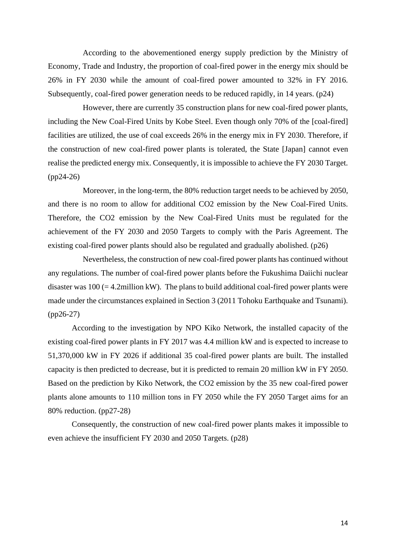According to the abovementioned energy supply prediction by the Ministry of Economy, Trade and Industry, the proportion of coal-fired power in the energy mix should be 26% in FY 2030 while the amount of coal-fired power amounted to 32% in FY 2016. Subsequently, coal-fired power generation needs to be reduced rapidly, in 14 years. (p24)

However, there are currently 35 construction plans for new coal-fired power plants, including the New Coal-Fired Units by Kobe Steel. Even though only 70% of the [coal-fired] facilities are utilized, the use of coal exceeds 26% in the energy mix in FY 2030. Therefore, if the construction of new coal-fired power plants is tolerated, the State [Japan] cannot even realise the predicted energy mix. Consequently, it is impossible to achieve the FY 2030 Target. (pp24-26)

Moreover, in the long-term, the 80% reduction target needs to be achieved by 2050, and there is no room to allow for additional CO2 emission by the New Coal-Fired Units. Therefore, the CO2 emission by the New Coal-Fired Units must be regulated for the achievement of the FY 2030 and 2050 Targets to comply with the Paris Agreement. The existing coal-fired power plants should also be regulated and gradually abolished. (p26)

Nevertheless, the construction of new coal-fired power plants has continued without any regulations. The number of coal-fired power plants before the Fukushima Daiichi nuclear disaster was  $100 (= 4.2$ million kW). The plans to build additional coal-fired power plants were made under the circumstances explained in Section 3 (2011 Tohoku Earthquake and Tsunami). (pp26-27)

According to the investigation by NPO Kiko Network, the installed capacity of the existing coal-fired power plants in FY 2017 was 4.4 million kW and is expected to increase to 51,370,000 kW in FY 2026 if additional 35 coal-fired power plants are built. The installed capacity is then predicted to decrease, but it is predicted to remain 20 million kW in FY 2050. Based on the prediction by Kiko Network, the CO2 emission by the 35 new coal-fired power plants alone amounts to 110 million tons in FY 2050 while the FY 2050 Target aims for an 80% reduction. (pp27-28)

Consequently, the construction of new coal-fired power plants makes it impossible to even achieve the insufficient FY 2030 and 2050 Targets. (p28)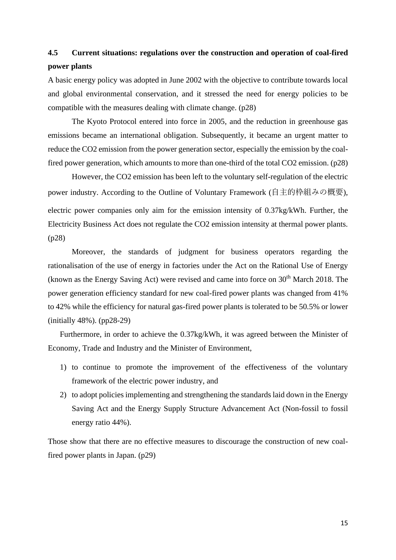# <span id="page-14-0"></span>**4.5 Current situations: regulations over the construction and operation of coal-fired power plants**

A basic energy policy was adopted in June 2002 with the objective to contribute towards local and global environmental conservation, and it stressed the need for energy policies to be compatible with the measures dealing with climate change. (p28)

The Kyoto Protocol entered into force in 2005, and the reduction in greenhouse gas emissions became an international obligation. Subsequently, it became an urgent matter to reduce the CO2 emission from the power generation sector, especially the emission by the coalfired power generation, which amounts to more than one-third of the total CO2 emission. (p28)

However, the CO2 emission has been left to the voluntary self-regulation of the electric power industry. According to the Outline of Voluntary Framework (自主的枠組みの概要), electric power companies only aim for the emission intensity of 0.37kg/kWh. Further, the Electricity Business Act does not regulate the CO2 emission intensity at thermal power plants. (p28)

Moreover, the standards of judgment for business operators regarding the rationalisation of the use of energy in factories under the Act on the Rational Use of Energy (known as the Energy Saving Act) were revised and came into force on  $30<sup>th</sup>$  March 2018. The power generation efficiency standard for new coal-fired power plants was changed from 41% to 42% while the efficiency for natural gas-fired power plants is tolerated to be 50.5% or lower (initially 48%). (pp28-29)

Furthermore, in order to achieve the 0.37kg/kWh, it was agreed between the Minister of Economy, Trade and Industry and the Minister of Environment,

- 1) to continue to promote the improvement of the effectiveness of the voluntary framework of the electric power industry, and
- 2) to adopt policies implementing and strengthening the standards laid down in the Energy Saving Act and the Energy Supply Structure Advancement Act (Non-fossil to fossil energy ratio 44%).

Those show that there are no effective measures to discourage the construction of new coalfired power plants in Japan. (p29)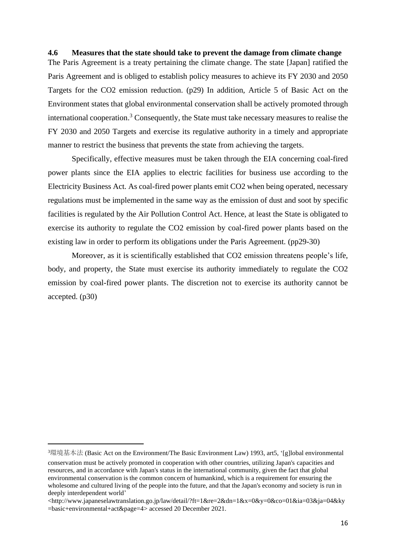#### <span id="page-15-0"></span>**4.6 Measures that the state should take to prevent the damage from climate change**

The Paris Agreement is a treaty pertaining the climate change. The state [Japan] ratified the Paris Agreement and is obliged to establish policy measures to achieve its FY 2030 and 2050 Targets for the CO2 emission reduction. (p29) In addition, Article 5 of Basic Act on the Environment states that global environmental conservation shall be actively promoted through international cooperation. <sup>3</sup> Consequently, the State must take necessary measures to realise the FY 2030 and 2050 Targets and exercise its regulative authority in a timely and appropriate manner to restrict the business that prevents the state from achieving the targets.

Specifically, effective measures must be taken through the EIA concerning coal-fired power plants since the EIA applies to electric facilities for business use according to the Electricity Business Act. As coal-fired power plants emit CO2 when being operated, necessary regulations must be implemented in the same way as the emission of dust and soot by specific facilities is regulated by the Air Pollution Control Act. Hence, at least the State is obligated to exercise its authority to regulate the CO2 emission by coal-fired power plants based on the existing law in order to perform its obligations under the Paris Agreement. (pp29-30)

Moreover, as it is scientifically established that CO2 emission threatens people's life, body, and property, the State must exercise its authority immediately to regulate the CO2 emission by coal-fired power plants. The discretion not to exercise its authority cannot be accepted. (p30)

<sup>3</sup>環境基本法 (Basic Act on the Environment/The Basic Environment Law) 1993, art5, '[g]lobal environmental conservation must be actively promoted in cooperation with other countries, utilizing Japan's capacities and resources, and in accordance with Japan's status in the international community, given the fact that global environmental conservation is the common concern of humankind, which is a requirement for ensuring the wholesome and cultured living of the people into the future, and that the Japan's economy and society is run in deeply interdependent world'

<sup>&</sup>lt;http://www.japaneselawtranslation.go.jp/law/detail/?ft=1&re=2&dn=1&x=0&y=0&co=01&ia=03&ja=04&ky =basic+environmental+act&page=4> accessed 20 December 2021.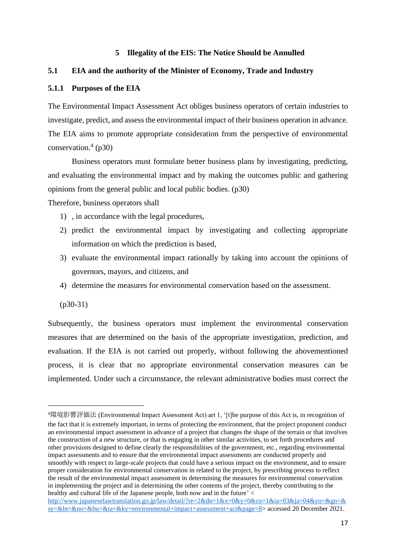#### **5 Illegality of the EIS: The Notice Should be Annulled**

#### <span id="page-16-1"></span><span id="page-16-0"></span>**5.1 EIA and the authority of the Minister of Economy, Trade and Industry**

#### <span id="page-16-2"></span>**5.1.1 Purposes of the EIA**

The Environmental Impact Assessment Act obliges business operators of certain industries to investigate, predict, and assess the environmental impact of their business operation in advance. The EIA aims to promote appropriate consideration from the perspective of environmental conservation. $(1)$  $(p30)$ 

Business operators must formulate better business plans by investigating, predicting, and evaluating the environmental impact and by making the outcomes public and gathering opinions from the general public and local public bodies. (p30)

Therefore, business operators shall

- 1) , in accordance with the legal procedures,
- 2) predict the environmental impact by investigating and collecting appropriate information on which the prediction is based,
- 3) evaluate the environmental impact rationally by taking into account the opinions of governors, mayors, and citizens, and
- 4) determine the measures for environmental conservation based on the assessment.

(p30-31)

Subsequently, the business operators must implement the environmental conservation measures that are determined on the basis of the appropriate investigation, prediction, and evaluation. If the EIA is not carried out properly, without following the abovementioned process, it is clear that no appropriate environmental conservation measures can be implemented. Under such a circumstance, the relevant administrative bodies must correct the

<sup>4</sup>環境影響評価法 (Environmental Impact Assessment Act) art 1, '[t]he purpose of this Act is, in recognition of the fact that it is extremely important, in terms of protecting the environment, that the project proponent conduct an environmental impact assessment in advance of a project that changes the shape of the terrain or that involves the construction of a new structure, or that is engaging in other similar activities, to set forth procedures and other provisions designed to define clearly the responsibilities of the government, etc., regarding environmental impact assessments and to ensure that the environmental impact assessments are conducted properly and smoothly with respect to large-scale projects that could have a serious impact on the environment, and to ensure proper consideration for environmental conservation in related to the project, by prescribing process to reflect the result of the environmental impact assessment in determining the measures for environmental conservation in implementing the project and in determining the other contents of the project, thereby contributing to the healthy and cultural life of the Japanese people, both now and in the future' <

[http://www.japaneselawtranslation.go.jp/law/detail/?re=2&dn=1&x=0&y=0&co=1&ia=03&ja=04&yo=&gn=&](http://www.japaneselawtranslation.go.jp/law/detail/?re=2&dn=1&x=0&y=0&co=1&ia=03&ja=04&yo=&gn=&sy=&ht=&no=&bu=&ta=&ky=environmental+impact+assessment+act&page=8) [sy=&ht=&no=&bu=&ta=&ky=environmental+impact+assessment+act&page=8>](http://www.japaneselawtranslation.go.jp/law/detail/?re=2&dn=1&x=0&y=0&co=1&ia=03&ja=04&yo=&gn=&sy=&ht=&no=&bu=&ta=&ky=environmental+impact+assessment+act&page=8) accessed 20 December 2021.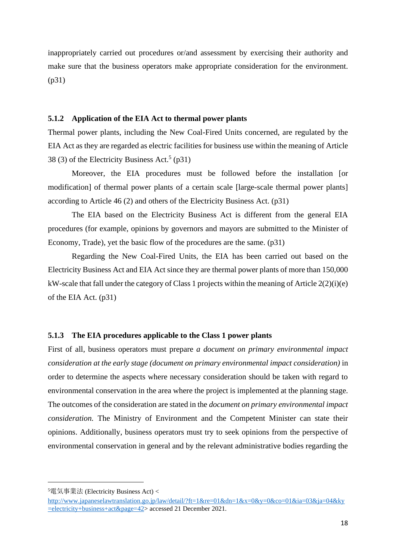inappropriately carried out procedures or/and assessment by exercising their authority and make sure that the business operators make appropriate consideration for the environment. (p31)

#### <span id="page-17-0"></span>**5.1.2 Application of the EIA Act to thermal power plants**

Thermal power plants, including the New Coal-Fired Units concerned, are regulated by the EIA Act as they are regarded as electric facilities for business use within the meaning of Article 38 (3) of the Electricity Business Act.<sup>5</sup> (p31)

Moreover, the EIA procedures must be followed before the installation [or modification] of thermal power plants of a certain scale [large-scale thermal power plants] according to Article 46 (2) and others of the Electricity Business Act. (p31)

The EIA based on the Electricity Business Act is different from the general EIA procedures (for example, opinions by governors and mayors are submitted to the Minister of Economy, Trade), yet the basic flow of the procedures are the same. (p31)

Regarding the New Coal-Fired Units, the EIA has been carried out based on the Electricity Business Act and EIA Act since they are thermal power plants of more than 150,000 kW-scale that fall under the category of Class 1 projects within the meaning of Article 2(2)(i)(e) of the EIA Act. (p31)

#### <span id="page-17-1"></span>**5.1.3 The EIA procedures applicable to the Class 1 power plants**

First of all, business operators must prepare *a document on primary environmental impact consideration at the early stage (document on primary environmental impact consideration)* in order to determine the aspects where necessary consideration should be taken with regard to environmental conservation in the area where the project is implemented at the planning stage. The outcomes of the consideration are stated in the *document on primary environmental impact consideration.* The Ministry of Environment and the Competent Minister can state their opinions. Additionally, business operators must try to seek opinions from the perspective of environmental conservation in general and by the relevant administrative bodies regarding the

<sup>5</sup>電気事業法 (Electricity Business Act) <

[http://www.japaneselawtranslation.go.jp/law/detail/?ft=1&re=01&dn=1&x=0&y=0&co=01&ia=03&ja=04&ky](http://www.japaneselawtranslation.go.jp/law/detail/?ft=1&re=01&dn=1&x=0&y=0&co=01&ia=03&ja=04&ky=electricity+business+act&page=42) [=electricity+business+act&page=42>](http://www.japaneselawtranslation.go.jp/law/detail/?ft=1&re=01&dn=1&x=0&y=0&co=01&ia=03&ja=04&ky=electricity+business+act&page=42) accessed 21 December 2021.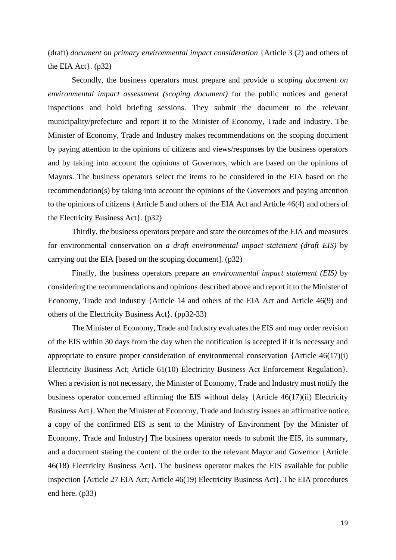(draft) *document on primary environmental impact consideration* {Article 3 (2) and others of the EIA Act $\}$ . (p32)

Secondly, the business operators must prepare and provide *a scoping document on environmental impact assessment (scoping document)* for the public notices and general inspections and hold briefing sessions. They submit the document to the relevant municipality/prefecture and report it to the Minister of Economy, Trade and Industry. The Minister of Economy, Trade and Industry makes recommendations on the scoping document by paying attention to the opinions of citizens and views/responses by the business operators and by taking into account the opinions of Governors, which are based on the opinions of Mayors. The business operators select the items to be considered in the EIA based on the recommendation(s) by taking into account the opinions of the Governors and paying attention to the opinions of citizens {Article 5 and others of the EIA Act and Article 46(4) and others of the Electricity Business Act}. (p32)

Thirdly, the business operators prepare and state the outcomes of the EIA and measures for environmental conservation on *a draft environmental impact statement (draft EIS)* by carrying out the EIA [based on the scoping document]. (p32)

Finally, the business operators prepare an *environmental impact statement (EIS)* by considering the recommendations and opinions described above and report it to the Minister of Economy, Trade and Industry {Article 14 and others of the EIA Act and Article 46(9) and others of the Electricity Business Act}. (pp32-33)

The Minister of Economy, Trade and Industry evaluates the EIS and may order revision of the EIS within 30 days from the day when the notification is accepted if it is necessary and appropriate to ensure proper consideration of environmental conservation {Article 46(17)(i) Electricity Business Act; Article 61(10) Electricity Business Act Enforcement Regulation}. When a revision is not necessary, the Minister of Economy, Trade and Industry must notify the business operator concerned affirming the EIS without delay {Article 46(17)(ii) Electricity Business Act}. When the Minister of Economy, Trade and Industry issues an affirmative notice, a copy of the confirmed EIS is sent to the Ministry of Environment [by the Minister of Economy, Trade and Industry] The business operator needs to submit the EIS, its summary, and a document stating the content of the order to the relevant Mayor and Governor {Article 46(18) Electricity Business Act}. The business operator makes the EIS available for public inspection {Article 27 EIA Act; Article 46(19) Electricity Business Act}. The EIA procedures end here. (p33)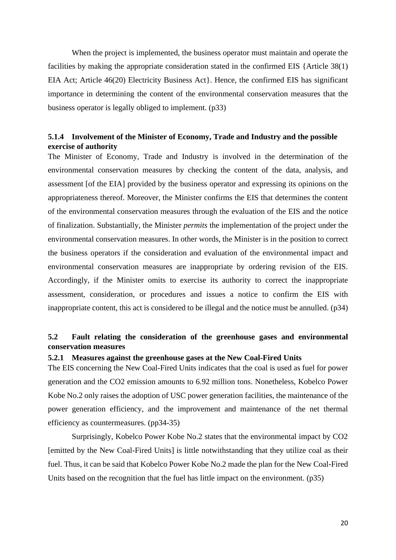When the project is implemented, the business operator must maintain and operate the facilities by making the appropriate consideration stated in the confirmed EIS {Article 38(1) EIA Act; Article 46(20) Electricity Business Act}. Hence, the confirmed EIS has significant importance in determining the content of the environmental conservation measures that the business operator is legally obliged to implement. (p33)

## <span id="page-19-0"></span>**5.1.4 Involvement of the Minister of Economy, Trade and Industry and the possible exercise of authority**

The Minister of Economy, Trade and Industry is involved in the determination of the environmental conservation measures by checking the content of the data, analysis, and assessment [of the EIA] provided by the business operator and expressing its opinions on the appropriateness thereof. Moreover, the Minister confirms the EIS that determines the content of the environmental conservation measures through the evaluation of the EIS and the notice of finalization. Substantially, the Minister *permits* the implementation of the project under the environmental conservation measures. In other words, the Minister is in the position to correct the business operators if the consideration and evaluation of the environmental impact and environmental conservation measures are inappropriate by ordering revision of the EIS. Accordingly, if the Minister omits to exercise its authority to correct the inappropriate assessment, consideration, or procedures and issues a notice to confirm the EIS with inappropriate content, this act is considered to be illegal and the notice must be annulled. (p34)

## <span id="page-19-1"></span>**5.2 Fault relating the consideration of the greenhouse gases and environmental conservation measures**

#### <span id="page-19-2"></span>**5.2.1 Measures against the greenhouse gases at the New Coal-Fired Units**

The EIS concerning the New Coal-Fired Units indicates that the coal is used as fuel for power generation and the CO2 emission amounts to 6.92 million tons. Nonetheless, Kobelco Power Kobe No.2 only raises the adoption of USC power generation facilities, the maintenance of the power generation efficiency, and the improvement and maintenance of the net thermal efficiency as countermeasures. (pp34-35)

Surprisingly, Kobelco Power Kobe No.2 states that the environmental impact by CO2 [emitted by the New Coal-Fired Units] is little notwithstanding that they utilize coal as their fuel. Thus, it can be said that Kobelco Power Kobe No.2 made the plan for the New Coal-Fired Units based on the recognition that the fuel has little impact on the environment. (p35)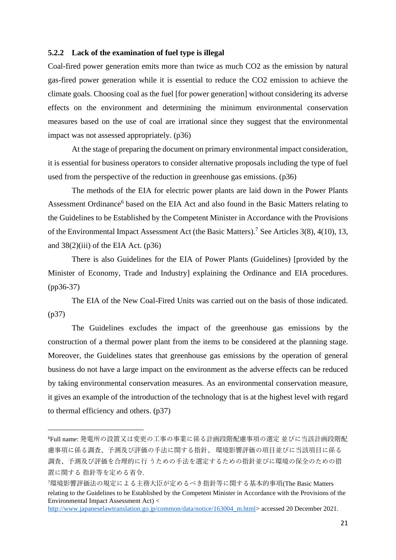#### <span id="page-20-0"></span>**5.2.2 Lack of the examination of fuel type is illegal**

Coal-fired power generation emits more than twice as much CO2 as the emission by natural gas-fired power generation while it is essential to reduce the CO2 emission to achieve the climate goals. Choosing coal as the fuel [for power generation] without considering its adverse effects on the environment and determining the minimum environmental conservation measures based on the use of coal are irrational since they suggest that the environmental impact was not assessed appropriately. (p36)

At the stage of preparing the document on primary environmental impact consideration, it is essential for business operators to consider alternative proposals including the type of fuel used from the perspective of the reduction in greenhouse gas emissions. (p36)

The methods of the EIA for electric power plants are laid down in the Power Plants Assessment Ordinance<sup>6</sup> based on the EIA Act and also found in the Basic Matters relating to the Guidelines to be Established by the Competent Minister in Accordance with the Provisions of the Environmental Impact Assessment Act (the Basic Matters).<sup>7</sup> See Articles 3(8), 4(10), 13, and  $38(2)$ (iii) of the EIA Act. (p36)

There is also Guidelines for the EIA of Power Plants (Guidelines) [provided by the Minister of Economy, Trade and Industry] explaining the Ordinance and EIA procedures. (pp36-37)

The EIA of the New Coal-Fired Units was carried out on the basis of those indicated. (p37)

The Guidelines excludes the impact of the greenhouse gas emissions by the construction of a thermal power plant from the items to be considered at the planning stage. Moreover, the Guidelines states that greenhouse gas emissions by the operation of general business do not have a large impact on the environment as the adverse effects can be reduced by taking environmental conservation measures. As an environmental conservation measure, it gives an example of the introduction of the technology that is at the highest level with regard to thermal efficiency and others. (p37)

[http://www.japaneselawtranslation.go.jp/common/data/notice/163004\\_m.html>](http://www.japaneselawtranslation.go.jp/common/data/notice/163004_m.html) accessed 20 December 2021.

<sup>6</sup>Full name: 発電所の設置又は変更の工事の事業に係る計画段階配慮事項の選定 並びに当該計画段階配 慮事項に係る調査、予測及び評価の手法に関する指針、 環境影響評価の項目並びに当該項目に係る 調査、予測及び評価を合理的に行 うための手法を選定するための指針並びに環境の保全のための措 置に関する 指針等を定める省令.

<sup>7</sup>環境影響評価法の規定による主務大臣が定めるべき指針等に関する基本的事項(The Basic Matters relating to the Guidelines to be Established by the Competent Minister in Accordance with the Provisions of the Environmental Impact Assessment Act) <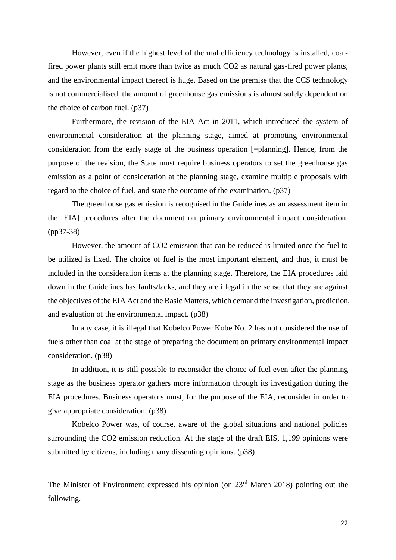However, even if the highest level of thermal efficiency technology is installed, coalfired power plants still emit more than twice as much CO2 as natural gas-fired power plants, and the environmental impact thereof is huge. Based on the premise that the CCS technology is not commercialised, the amount of greenhouse gas emissions is almost solely dependent on the choice of carbon fuel. (p37)

Furthermore, the revision of the EIA Act in 2011, which introduced the system of environmental consideration at the planning stage, aimed at promoting environmental consideration from the early stage of the business operation [=planning]. Hence, from the purpose of the revision, the State must require business operators to set the greenhouse gas emission as a point of consideration at the planning stage, examine multiple proposals with regard to the choice of fuel, and state the outcome of the examination. (p37)

The greenhouse gas emission is recognised in the Guidelines as an assessment item in the [EIA] procedures after the document on primary environmental impact consideration. (pp37-38)

However, the amount of CO2 emission that can be reduced is limited once the fuel to be utilized is fixed. The choice of fuel is the most important element, and thus, it must be included in the consideration items at the planning stage. Therefore, the EIA procedures laid down in the Guidelines has faults/lacks, and they are illegal in the sense that they are against the objectives of the EIA Act and the Basic Matters, which demand the investigation, prediction, and evaluation of the environmental impact. (p38)

In any case, it is illegal that Kobelco Power Kobe No. 2 has not considered the use of fuels other than coal at the stage of preparing the document on primary environmental impact consideration. (p38)

In addition, it is still possible to reconsider the choice of fuel even after the planning stage as the business operator gathers more information through its investigation during the EIA procedures. Business operators must, for the purpose of the EIA, reconsider in order to give appropriate consideration. (p38)

Kobelco Power was, of course, aware of the global situations and national policies surrounding the CO2 emission reduction. At the stage of the draft EIS, 1,199 opinions were submitted by citizens, including many dissenting opinions. (p38)

The Minister of Environment expressed his opinion (on 23<sup>rd</sup> March 2018) pointing out the following.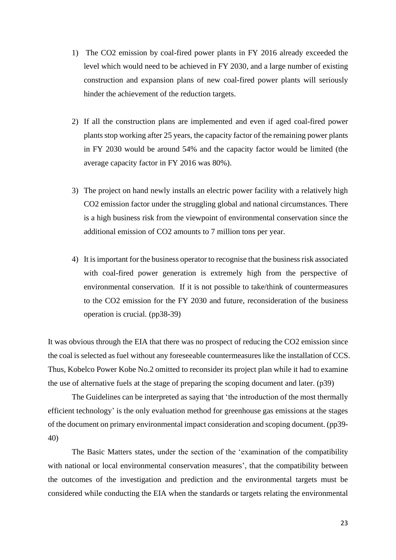- 1) The CO2 emission by coal-fired power plants in FY 2016 already exceeded the level which would need to be achieved in FY 2030, and a large number of existing construction and expansion plans of new coal-fired power plants will seriously hinder the achievement of the reduction targets.
- 2) If all the construction plans are implemented and even if aged coal-fired power plants stop working after 25 years, the capacity factor of the remaining power plants in FY 2030 would be around 54% and the capacity factor would be limited (the average capacity factor in FY 2016 was 80%).
- 3) The project on hand newly installs an electric power facility with a relatively high CO2 emission factor under the struggling global and national circumstances. There is a high business risk from the viewpoint of environmental conservation since the additional emission of CO2 amounts to 7 million tons per year.
- 4) It is important for the business operator to recognise that the business risk associated with coal-fired power generation is extremely high from the perspective of environmental conservation. If it is not possible to take/think of countermeasures to the CO2 emission for the FY 2030 and future, reconsideration of the business operation is crucial. (pp38-39)

It was obvious through the EIA that there was no prospect of reducing the CO2 emission since the coal is selected as fuel without any foreseeable countermeasures like the installation of CCS. Thus, Kobelco Power Kobe No.2 omitted to reconsider its project plan while it had to examine the use of alternative fuels at the stage of preparing the scoping document and later. (p39)

The Guidelines can be interpreted as saying that 'the introduction of the most thermally efficient technology' is the only evaluation method for greenhouse gas emissions at the stages of the document on primary environmental impact consideration and scoping document. (pp39- 40)

The Basic Matters states, under the section of the 'examination of the compatibility with national or local environmental conservation measures', that the compatibility between the outcomes of the investigation and prediction and the environmental targets must be considered while conducting the EIA when the standards or targets relating the environmental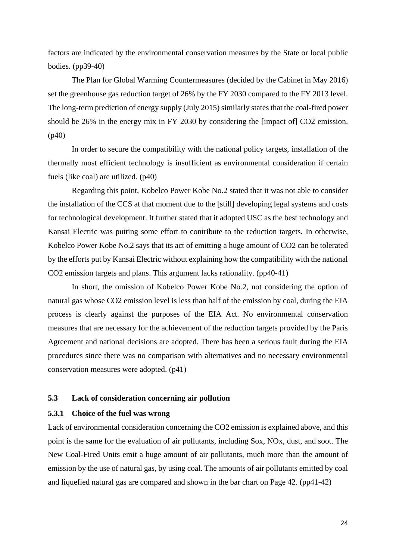factors are indicated by the environmental conservation measures by the State or local public bodies. (pp39-40)

The Plan for Global Warming Countermeasures (decided by the Cabinet in May 2016) set the greenhouse gas reduction target of 26% by the FY 2030 compared to the FY 2013 level. The long-term prediction of energy supply (July 2015) similarly states that the coal-fired power should be 26% in the energy mix in FY 2030 by considering the [impact of] CO2 emission. (p40)

In order to secure the compatibility with the national policy targets, installation of the thermally most efficient technology is insufficient as environmental consideration if certain fuels (like coal) are utilized. (p40)

Regarding this point, Kobelco Power Kobe No.2 stated that it was not able to consider the installation of the CCS at that moment due to the [still] developing legal systems and costs for technological development. It further stated that it adopted USC as the best technology and Kansai Electric was putting some effort to contribute to the reduction targets. In otherwise, Kobelco Power Kobe No.2 says that its act of emitting a huge amount of CO2 can be tolerated by the efforts put by Kansai Electric without explaining how the compatibility with the national CO2 emission targets and plans. This argument lacks rationality. (pp40-41)

In short, the omission of Kobelco Power Kobe No.2, not considering the option of natural gas whose CO2 emission level is less than half of the emission by coal, during the EIA process is clearly against the purposes of the EIA Act. No environmental conservation measures that are necessary for the achievement of the reduction targets provided by the Paris Agreement and national decisions are adopted. There has been a serious fault during the EIA procedures since there was no comparison with alternatives and no necessary environmental conservation measures were adopted. (p41)

#### <span id="page-23-0"></span>**5.3 Lack of consideration concerning air pollution**

### <span id="page-23-1"></span>**5.3.1 Choice of the fuel was wrong**

Lack of environmental consideration concerning the CO2 emission is explained above, and this point is the same for the evaluation of air pollutants, including Sox, NOx, dust, and soot. The New Coal-Fired Units emit a huge amount of air pollutants, much more than the amount of emission by the use of natural gas, by using coal. The amounts of air pollutants emitted by coal and liquefied natural gas are compared and shown in the bar chart on Page 42. (pp41-42)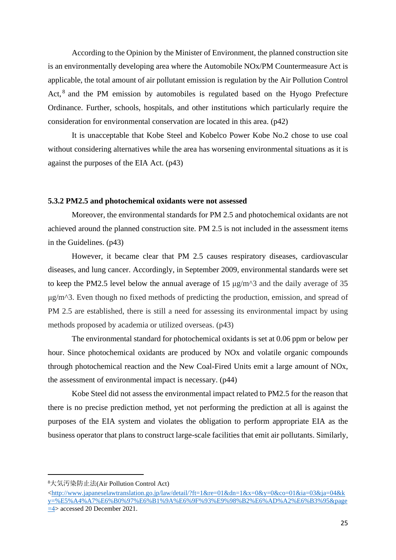According to the Opinion by the Minister of Environment, the planned construction site is an environmentally developing area where the Automobile NOx/PM Countermeasure Act is applicable, the total amount of air pollutant emission is regulation by the Air Pollution Control Act, <sup>8</sup> and the PM emission by automobiles is regulated based on the Hyogo Prefecture Ordinance. Further, schools, hospitals, and other institutions which particularly require the consideration for environmental conservation are located in this area. (p42)

It is unacceptable that Kobe Steel and Kobelco Power Kobe No.2 chose to use coal without considering alternatives while the area has worsening environmental situations as it is against the purposes of the EIA Act. (p43)

#### <span id="page-24-0"></span>**5.3.2 PM2.5 and photochemical oxidants were not assessed**

Moreover, the environmental standards for PM 2.5 and photochemical oxidants are not achieved around the planned construction site. PM 2.5 is not included in the assessment items in the Guidelines. (p43)

However, it became clear that PM 2.5 causes respiratory diseases, cardiovascular diseases, and lung cancer. Accordingly, in September 2009, environmental standards were set to keep the PM2.5 level below the annual average of 15 μg/m^3 and the daily average of 35 μg/m^3. Even though no fixed methods of predicting the production, emission, and spread of PM 2.5 are established, there is still a need for assessing its environmental impact by using methods proposed by academia or utilized overseas. (p43)

The environmental standard for photochemical oxidants is set at 0.06 ppm or below per hour. Since photochemical oxidants are produced by NOx and volatile organic compounds through photochemical reaction and the New Coal-Fired Units emit a large amount of NOx, the assessment of environmental impact is necessary. (p44)

Kobe Steel did not assess the environmental impact related to PM2.5 for the reason that there is no precise prediction method, yet not performing the prediction at all is against the purposes of the EIA system and violates the obligation to perform appropriate EIA as the business operator that plans to construct large-scale facilities that emit air pollutants. Similarly,

<sup>8</sup>大気汚染防止法(Air Pollution Control Act)

 $\text{K}$ ttp://www.japaneselawtranslation.go.jp/law/detail/?ft=1&re=01&dn=1&x=0&y=0&co=01&ia=03&ja=04&k [y=%E5%A4%A7%E6%B0%97%E6%B1%9A%E6%9F%93%E9%98%B2%E6%AD%A2%E6%B3%95&page](http://www.japaneselawtranslation.go.jp/law/detail/?ft=1&re=01&dn=1&x=0&y=0&co=01&ia=03&ja=04&ky=%E5%A4%A7%E6%B0%97%E6%B1%9A%E6%9F%93%E9%98%B2%E6%AD%A2%E6%B3%95&page=4) [=4>](http://www.japaneselawtranslation.go.jp/law/detail/?ft=1&re=01&dn=1&x=0&y=0&co=01&ia=03&ja=04&ky=%E5%A4%A7%E6%B0%97%E6%B1%9A%E6%9F%93%E9%98%B2%E6%AD%A2%E6%B3%95&page=4) accessed 20 December 2021.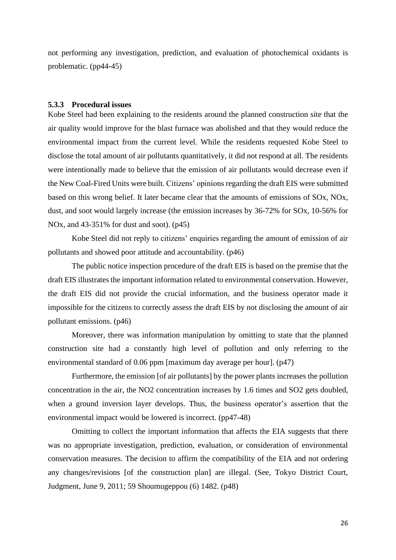not performing any investigation, prediction, and evaluation of photochemical oxidants is problematic. (pp44-45)

#### <span id="page-25-0"></span>**5.3.3 Procedural issues**

Kobe Steel had been explaining to the residents around the planned construction site that the air quality would improve for the blast furnace was abolished and that they would reduce the environmental impact from the current level. While the residents requested Kobe Steel to disclose the total amount of air pollutants quantitatively, it did not respond at all. The residents were intentionally made to believe that the emission of air pollutants would decrease even if the New Coal-Fired Units were built. Citizens' opinions regarding the draft EIS were submitted based on this wrong belief. It later became clear that the amounts of emissions of SOx, NOx, dust, and soot would largely increase (the emission increases by 36-72% for SOx, 10-56% for NOx, and 43-351% for dust and soot). (p45)

Kobe Steel did not reply to citizens' enquiries regarding the amount of emission of air pollutants and showed poor attitude and accountability. (p46)

The public notice inspection procedure of the draft EIS is based on the premise that the draft EIS illustrates the important information related to environmental conservation. However, the draft EIS did not provide the crucial information, and the business operator made it impossible for the citizens to correctly assess the draft EIS by not disclosing the amount of air pollutant emissions. (p46)

Moreover, there was information manipulation by omitting to state that the planned construction site had a constantly high level of pollution and only referring to the environmental standard of 0.06 ppm [maximum day average per hour]. (p47)

Furthermore, the emission [of air pollutants] by the power plants increases the pollution concentration in the air, the NO2 concentration increases by 1.6 times and SO2 gets doubled, when a ground inversion layer develops. Thus, the business operator's assertion that the environmental impact would be lowered is incorrect. (pp47-48)

Omitting to collect the important information that affects the EIA suggests that there was no appropriate investigation, prediction, evaluation, or consideration of environmental conservation measures. The decision to affirm the compatibility of the EIA and not ordering any changes/revisions [of the construction plan] are illegal. (See, Tokyo District Court, Judgment, June 9, 2011; 59 Shoumugeppou (6) 1482. (p48)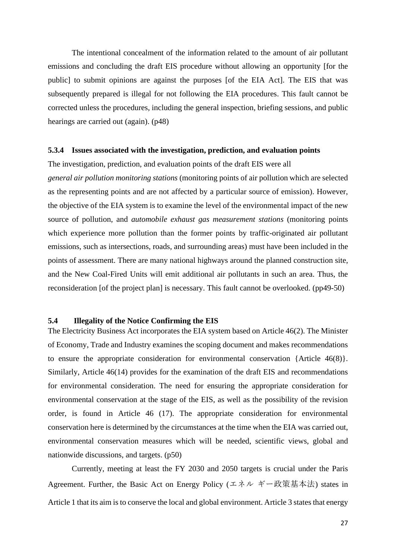The intentional concealment of the information related to the amount of air pollutant emissions and concluding the draft EIS procedure without allowing an opportunity [for the public] to submit opinions are against the purposes [of the EIA Act]. The EIS that was subsequently prepared is illegal for not following the EIA procedures. This fault cannot be corrected unless the procedures, including the general inspection, briefing sessions, and public hearings are carried out (again). (p48)

#### <span id="page-26-0"></span>**5.3.4 Issues associated with the investigation, prediction, and evaluation points**

The investigation, prediction, and evaluation points of the draft EIS were all *general air pollution monitoring stations* (monitoring points of air pollution which are selected as the representing points and are not affected by a particular source of emission). However, the objective of the EIA system is to examine the level of the environmental impact of the new source of pollution, and *automobile exhaust gas measurement stations* (monitoring points which experience more pollution than the former points by traffic-originated air pollutant emissions, such as intersections, roads, and surrounding areas) must have been included in the points of assessment. There are many national highways around the planned construction site, and the New Coal-Fired Units will emit additional air pollutants in such an area. Thus, the reconsideration [of the project plan] is necessary. This fault cannot be overlooked. (pp49-50)

#### <span id="page-26-1"></span>**5.4 Illegality of the Notice Confirming the EIS**

The Electricity Business Act incorporates the EIA system based on Article 46(2). The Minister of Economy, Trade and Industry examines the scoping document and makes recommendations to ensure the appropriate consideration for environmental conservation {Article 46(8)}. Similarly, Article 46(14) provides for the examination of the draft EIS and recommendations for environmental consideration. The need for ensuring the appropriate consideration for environmental conservation at the stage of the EIS, as well as the possibility of the revision order, is found in Article 46 (17). The appropriate consideration for environmental conservation here is determined by the circumstances at the time when the EIA was carried out, environmental conservation measures which will be needed, scientific views, global and nationwide discussions, and targets. (p50)

Currently, meeting at least the FY 2030 and 2050 targets is crucial under the Paris Agreement. Further, the Basic Act on Energy Policy (エネル ギー政策基本法) states in Article 1 that its aim is to conserve the local and global environment. Article 3 states that energy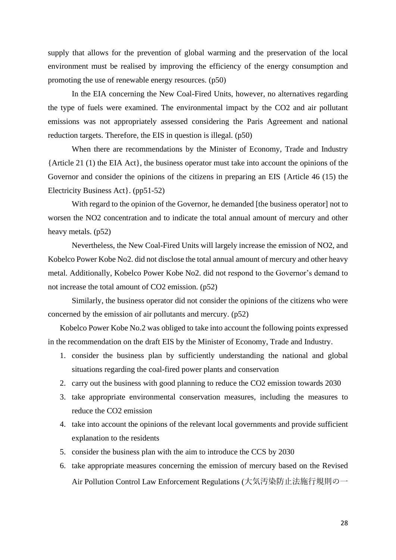supply that allows for the prevention of global warming and the preservation of the local environment must be realised by improving the efficiency of the energy consumption and promoting the use of renewable energy resources. (p50)

In the EIA concerning the New Coal-Fired Units, however, no alternatives regarding the type of fuels were examined. The environmental impact by the CO2 and air pollutant emissions was not appropriately assessed considering the Paris Agreement and national reduction targets. Therefore, the EIS in question is illegal. (p50)

When there are recommendations by the Minister of Economy, Trade and Industry {Article 21 (1) the EIA Act}, the business operator must take into account the opinions of the Governor and consider the opinions of the citizens in preparing an EIS {Article 46 (15) the Electricity Business Act}. (pp51-52)

With regard to the opinion of the Governor, he demanded [the business operator] not to worsen the NO2 concentration and to indicate the total annual amount of mercury and other heavy metals. (p52)

Nevertheless, the New Coal-Fired Units will largely increase the emission of NO2, and Kobelco Power Kobe No2. did not disclose the total annual amount of mercury and other heavy metal. Additionally, Kobelco Power Kobe No2. did not respond to the Governor's demand to not increase the total amount of CO2 emission. (p52)

Similarly, the business operator did not consider the opinions of the citizens who were concerned by the emission of air pollutants and mercury. (p52)

Kobelco Power Kobe No.2 was obliged to take into account the following points expressed in the recommendation on the draft EIS by the Minister of Economy, Trade and Industry.

- 1. consider the business plan by sufficiently understanding the national and global situations regarding the coal-fired power plants and conservation
- 2. carry out the business with good planning to reduce the CO2 emission towards 2030
- 3. take appropriate environmental conservation measures, including the measures to reduce the CO2 emission
- 4. take into account the opinions of the relevant local governments and provide sufficient explanation to the residents
- 5. consider the business plan with the aim to introduce the CCS by 2030
- 6. take appropriate measures concerning the emission of mercury based on the Revised Air Pollution Control Law Enforcement Regulations (大気汚染防止法施行規則の一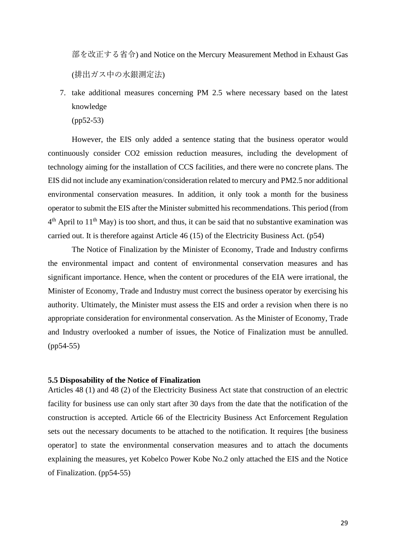部を改正する省令) and Notice on the Mercury Measurement Method in Exhaust Gas (排出ガス中の水銀測定法)

7. take additional measures concerning PM 2.5 where necessary based on the latest knowledge

(pp52-53)

However, the EIS only added a sentence stating that the business operator would continuously consider CO2 emission reduction measures, including the development of technology aiming for the installation of CCS facilities, and there were no concrete plans. The EIS did not include any examination/consideration related to mercury and PM2.5 nor additional environmental conservation measures. In addition, it only took a month for the business operator to submit the EIS after the Minister submitted his recommendations. This period (from  $4<sup>th</sup>$  April to  $11<sup>th</sup>$  May) is too short, and thus, it can be said that no substantive examination was carried out. It is therefore against Article 46 (15) of the Electricity Business Act. (p54)

The Notice of Finalization by the Minister of Economy, Trade and Industry confirms the environmental impact and content of environmental conservation measures and has significant importance. Hence, when the content or procedures of the EIA were irrational, the Minister of Economy, Trade and Industry must correct the business operator by exercising his authority. Ultimately, the Minister must assess the EIS and order a revision when there is no appropriate consideration for environmental conservation. As the Minister of Economy, Trade and Industry overlooked a number of issues, the Notice of Finalization must be annulled. (pp54-55)

#### <span id="page-28-0"></span>**5.5 Disposability of the Notice of Finalization**

Articles 48 (1) and 48 (2) of the Electricity Business Act state that construction of an electric facility for business use can only start after 30 days from the date that the notification of the construction is accepted. Article 66 of the Electricity Business Act Enforcement Regulation sets out the necessary documents to be attached to the notification. It requires [the business operator] to state the environmental conservation measures and to attach the documents explaining the measures, yet Kobelco Power Kobe No.2 only attached the EIS and the Notice of Finalization. (pp54-55)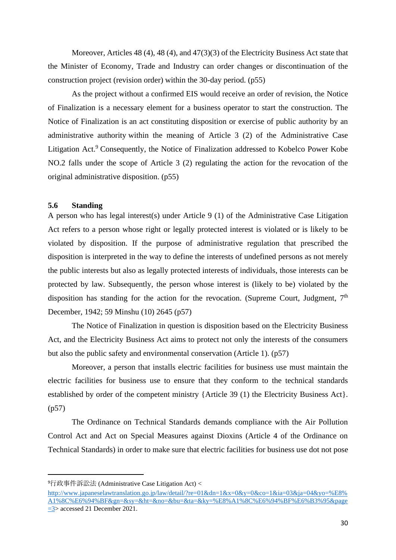Moreover, Articles 48 (4), 48 (4), and 47(3)(3) of the Electricity Business Act state that the Minister of Economy, Trade and Industry can order changes or discontinuation of the construction project (revision order) within the 30-day period. (p55)

As the project without a confirmed EIS would receive an order of revision, the Notice of Finalization is a necessary element for a business operator to start the construction. The Notice of Finalization is an act constituting disposition or exercise of public authority by an administrative authority within the meaning of Article 3 (2) of the Administrative Case Litigation Act.<sup>9</sup> Consequently, the Notice of Finalization addressed to Kobelco Power Kobe NO.2 falls under the scope of Article 3 (2) regulating the action for the revocation of the original administrative disposition. (p55)

#### <span id="page-29-0"></span>**5.6 Standing**

A person who has legal interest(s) under Article 9 (1) of the Administrative Case Litigation Act refers to a person whose right or legally protected interest is violated or is likely to be violated by disposition. If the purpose of administrative regulation that prescribed the disposition is interpreted in the way to define the interests of undefined persons as not merely the public interests but also as legally protected interests of individuals, those interests can be protected by law. Subsequently, the person whose interest is (likely to be) violated by the disposition has standing for the action for the revocation. (Supreme Court, Judgment,  $7<sup>th</sup>$ December, 1942; 59 Minshu (10) 2645 (p57)

The Notice of Finalization in question is disposition based on the Electricity Business Act, and the Electricity Business Act aims to protect not only the interests of the consumers but also the public safety and environmental conservation (Article 1). (p57)

Moreover, a person that installs electric facilities for business use must maintain the electric facilities for business use to ensure that they conform to the technical standards established by order of the competent ministry {Article 39 (1) the Electricity Business Act}. (p57)

The Ordinance on Technical Standards demands compliance with the Air Pollution Control Act and Act on Special Measures against Dioxins (Article 4 of the Ordinance on Technical Standards) in order to make sure that electric facilities for business use dot not pose

<sup>9</sup>行政事件訴訟法 (Administrative Case Litigation Act) <

[http://www.japaneselawtranslation.go.jp/law/detail/?re=01&dn=1&x=0&y=0&co=1&ia=03&ja=04&yo=%E8%](http://www.japaneselawtranslation.go.jp/law/detail/?re=01&dn=1&x=0&y=0&co=1&ia=03&ja=04&yo=%E8%A1%8C%E6%94%BF&gn=&sy=&ht=&no=&bu=&ta=&ky=%E8%A1%8C%E6%94%BF%E6%B3%95&page=3) [A1%8C%E6%94%BF&gn=&sy=&ht=&no=&bu=&ta=&ky=%E8%A1%8C%E6%94%BF%E6%B3%95&page](http://www.japaneselawtranslation.go.jp/law/detail/?re=01&dn=1&x=0&y=0&co=1&ia=03&ja=04&yo=%E8%A1%8C%E6%94%BF&gn=&sy=&ht=&no=&bu=&ta=&ky=%E8%A1%8C%E6%94%BF%E6%B3%95&page=3) [=3>](http://www.japaneselawtranslation.go.jp/law/detail/?re=01&dn=1&x=0&y=0&co=1&ia=03&ja=04&yo=%E8%A1%8C%E6%94%BF&gn=&sy=&ht=&no=&bu=&ta=&ky=%E8%A1%8C%E6%94%BF%E6%B3%95&page=3) accessed 21 December 2021.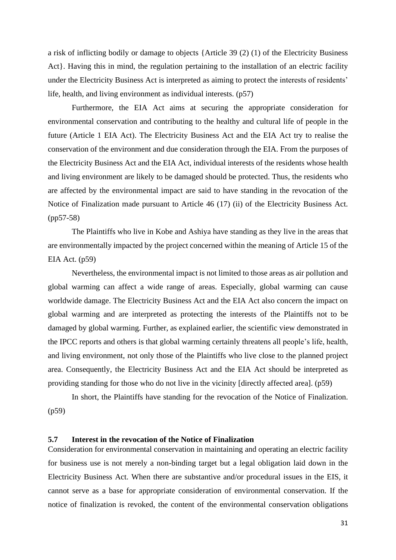a risk of inflicting bodily or damage to objects {Article 39 (2) (1) of the Electricity Business Act}. Having this in mind, the regulation pertaining to the installation of an electric facility under the Electricity Business Act is interpreted as aiming to protect the interests of residents' life, health, and living environment as individual interests. (p57)

Furthermore, the EIA Act aims at securing the appropriate consideration for environmental conservation and contributing to the healthy and cultural life of people in the future (Article 1 EIA Act). The Electricity Business Act and the EIA Act try to realise the conservation of the environment and due consideration through the EIA. From the purposes of the Electricity Business Act and the EIA Act, individual interests of the residents whose health and living environment are likely to be damaged should be protected. Thus, the residents who are affected by the environmental impact are said to have standing in the revocation of the Notice of Finalization made pursuant to Article 46 (17) (ii) of the Electricity Business Act. (pp57-58)

The Plaintiffs who live in Kobe and Ashiya have standing as they live in the areas that are environmentally impacted by the project concerned within the meaning of Article 15 of the EIA Act. (p59)

Nevertheless, the environmental impact is not limited to those areas as air pollution and global warming can affect a wide range of areas. Especially, global warming can cause worldwide damage. The Electricity Business Act and the EIA Act also concern the impact on global warming and are interpreted as protecting the interests of the Plaintiffs not to be damaged by global warming. Further, as explained earlier, the scientific view demonstrated in the IPCC reports and others is that global warming certainly threatens all people's life, health, and living environment, not only those of the Plaintiffs who live close to the planned project area. Consequently, the Electricity Business Act and the EIA Act should be interpreted as providing standing for those who do not live in the vicinity [directly affected area]. (p59)

In short, the Plaintiffs have standing for the revocation of the Notice of Finalization. (p59)

#### <span id="page-30-0"></span>**5.7 Interest in the revocation of the Notice of Finalization**

Consideration for environmental conservation in maintaining and operating an electric facility for business use is not merely a non-binding target but a legal obligation laid down in the Electricity Business Act. When there are substantive and/or procedural issues in the EIS, it cannot serve as a base for appropriate consideration of environmental conservation. If the notice of finalization is revoked, the content of the environmental conservation obligations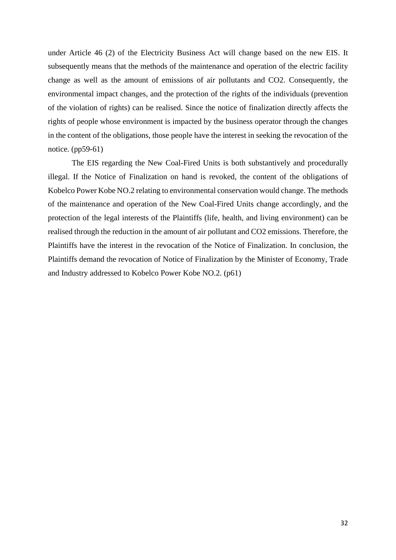under Article 46 (2) of the Electricity Business Act will change based on the new EIS. It subsequently means that the methods of the maintenance and operation of the electric facility change as well as the amount of emissions of air pollutants and CO2. Consequently, the environmental impact changes, and the protection of the rights of the individuals (prevention of the violation of rights) can be realised. Since the notice of finalization directly affects the rights of people whose environment is impacted by the business operator through the changes in the content of the obligations, those people have the interest in seeking the revocation of the notice. (pp59-61)

The EIS regarding the New Coal-Fired Units is both substantively and procedurally illegal. If the Notice of Finalization on hand is revoked, the content of the obligations of Kobelco Power Kobe NO.2 relating to environmental conservation would change. The methods of the maintenance and operation of the New Coal-Fired Units change accordingly, and the protection of the legal interests of the Plaintiffs (life, health, and living environment) can be realised through the reduction in the amount of air pollutant and CO2 emissions. Therefore, the Plaintiffs have the interest in the revocation of the Notice of Finalization. In conclusion, the Plaintiffs demand the revocation of Notice of Finalization by the Minister of Economy, Trade and Industry addressed to Kobelco Power Kobe NO.2. (p61)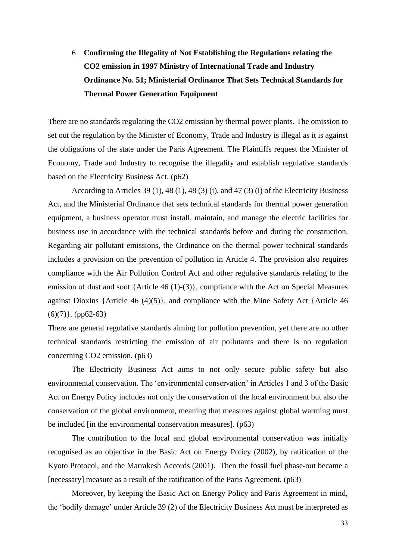# <span id="page-32-0"></span>6 **Confirming the Illegality of Not Establishing the Regulations relating the CO2 emission in 1997 Ministry of International Trade and Industry Ordinance No. 51; Ministerial Ordinance That Sets Technical Standards for Thermal Power Generation Equipment**

There are no standards regulating the CO2 emission by thermal power plants. The omission to set out the regulation by the Minister of Economy, Trade and Industry is illegal as it is against the obligations of the state under the Paris Agreement. The Plaintiffs request the Minister of Economy, Trade and Industry to recognise the illegality and establish regulative standards based on the Electricity Business Act. (p62)

According to Articles 39 (1), 48 (1), 48 (3) (i), and 47 (3) (i) of the Electricity Business Act, and the Ministerial Ordinance that sets technical standards for thermal power generation equipment, a business operator must install, maintain, and manage the electric facilities for business use in accordance with the technical standards before and during the construction. Regarding air pollutant emissions, the Ordinance on the thermal power technical standards includes a provision on the prevention of pollution in Article 4. The provision also requires compliance with the Air Pollution Control Act and other regulative standards relating to the emission of dust and soot {Article 46 (1)-(3)}, compliance with the Act on Special Measures against Dioxins {Article 46 (4)(5)}, and compliance with the Mine Safety Act {Article 46  $(6)(7)$ . (pp62-63)

There are general regulative standards aiming for pollution prevention, yet there are no other technical standards restricting the emission of air pollutants and there is no regulation concerning CO2 emission. (p63)

The Electricity Business Act aims to not only secure public safety but also environmental conservation. The 'environmental conservation' in Articles 1 and 3 of the Basic Act on Energy Policy includes not only the conservation of the local environment but also the conservation of the global environment, meaning that measures against global warming must be included [in the environmental conservation measures]. (p63)

The contribution to the local and global environmental conservation was initially recognised as an objective in the Basic Act on Energy Policy (2002), by ratification of the Kyoto Protocol, and the Marrakesh Accords (2001). Then the fossil fuel phase-out became a [necessary] measure as a result of the ratification of the Paris Agreement. (p63)

Moreover, by keeping the Basic Act on Energy Policy and Paris Agreement in mind, the 'bodily damage' under Article 39 (2) of the Electricity Business Act must be interpreted as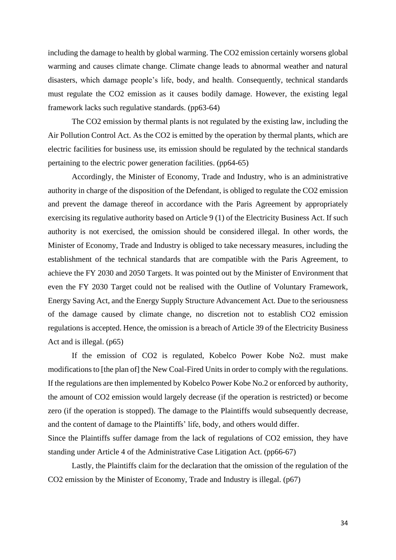including the damage to health by global warming. The CO2 emission certainly worsens global warming and causes climate change. Climate change leads to abnormal weather and natural disasters, which damage people's life, body, and health. Consequently, technical standards must regulate the CO2 emission as it causes bodily damage. However, the existing legal framework lacks such regulative standards. (pp63-64)

The CO2 emission by thermal plants is not regulated by the existing law, including the Air Pollution Control Act. As the CO2 is emitted by the operation by thermal plants, which are electric facilities for business use, its emission should be regulated by the technical standards pertaining to the electric power generation facilities. (pp64-65)

Accordingly, the Minister of Economy, Trade and Industry, who is an administrative authority in charge of the disposition of the Defendant, is obliged to regulate the CO2 emission and prevent the damage thereof in accordance with the Paris Agreement by appropriately exercising its regulative authority based on Article 9 (1) of the Electricity Business Act. If such authority is not exercised, the omission should be considered illegal. In other words, the Minister of Economy, Trade and Industry is obliged to take necessary measures, including the establishment of the technical standards that are compatible with the Paris Agreement, to achieve the FY 2030 and 2050 Targets. It was pointed out by the Minister of Environment that even the FY 2030 Target could not be realised with the Outline of Voluntary Framework, Energy Saving Act, and the Energy Supply Structure Advancement Act. Due to the seriousness of the damage caused by climate change, no discretion not to establish CO2 emission regulations is accepted. Hence, the omission is a breach of Article 39 of the Electricity Business Act and is illegal. (p65)

If the emission of CO2 is regulated, Kobelco Power Kobe No2. must make modifications to [the plan of] the New Coal-Fired Units in order to comply with the regulations. If the regulations are then implemented by Kobelco Power Kobe No.2 or enforced by authority, the amount of CO2 emission would largely decrease (if the operation is restricted) or become zero (if the operation is stopped). The damage to the Plaintiffs would subsequently decrease, and the content of damage to the Plaintiffs' life, body, and others would differ. Since the Plaintiffs suffer damage from the lack of regulations of CO2 emission, they have standing under Article 4 of the Administrative Case Litigation Act. (pp66-67)

Lastly, the Plaintiffs claim for the declaration that the omission of the regulation of the CO2 emission by the Minister of Economy, Trade and Industry is illegal. (p67)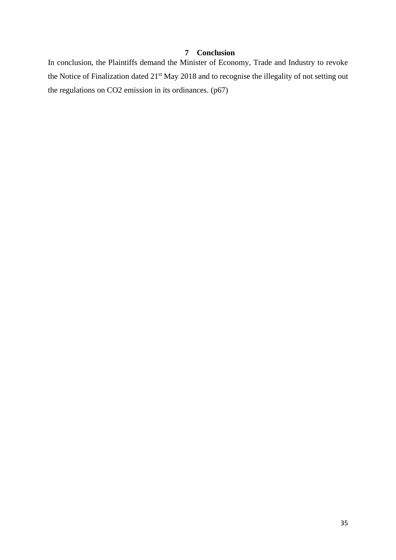## **7 Conclusion**

<span id="page-34-0"></span>In conclusion, the Plaintiffs demand the Minister of Economy, Trade and Industry to revoke the Notice of Finalization dated 21<sup>st</sup> May 2018 and to recognise the illegality of not setting out the regulations on CO2 emission in its ordinances. (p67)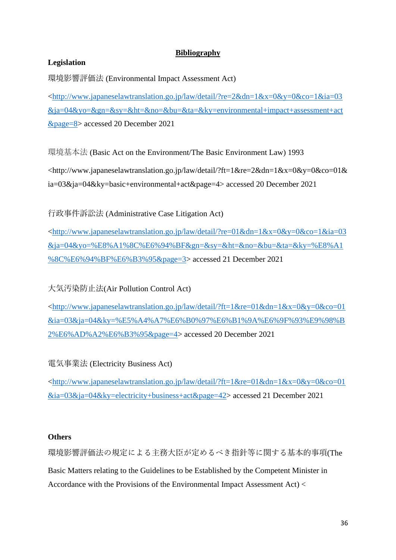## **Bibliography**

## <span id="page-35-0"></span>**Legislation**

環境影響評価法 (Environmental Impact Assessment Act)

[<http://www.japaneselawtranslation.go.jp/law/detail/?re=2&dn=1&x=0&y=0&co=1&ia=03](http://www.japaneselawtranslation.go.jp/law/detail/?re=2&dn=1&x=0&y=0&co=1&ia=03&ja=04&yo=&gn=&sy=&ht=&no=&bu=&ta=&ky=environmental+impact+assessment+act&page=8) [&ja=04&yo=&gn=&sy=&ht=&no=&bu=&ta=&ky=environmental+impact+assessment+act](http://www.japaneselawtranslation.go.jp/law/detail/?re=2&dn=1&x=0&y=0&co=1&ia=03&ja=04&yo=&gn=&sy=&ht=&no=&bu=&ta=&ky=environmental+impact+assessment+act&page=8) [&page=8>](http://www.japaneselawtranslation.go.jp/law/detail/?re=2&dn=1&x=0&y=0&co=1&ia=03&ja=04&yo=&gn=&sy=&ht=&no=&bu=&ta=&ky=environmental+impact+assessment+act&page=8) accessed 20 December 2021

環境基本法 (Basic Act on the Environment/The Basic Environment Law) 1993

<http://www.japaneselawtranslation.go.jp/law/detail/?ft=1&re=2&dn=1&x=0&y=0&co=01& ia=03&ja=04&ky=basic+environmental+act&page=4> accessed 20 December 2021

行政事件訴訟法 (Administrative Case Litigation Act)

[<http://www.japaneselawtranslation.go.jp/law/detail/?re=01&dn=1&x=0&y=0&co=1&ia=03](http://www.japaneselawtranslation.go.jp/law/detail/?re=01&dn=1&x=0&y=0&co=1&ia=03&ja=04&yo=%E8%A1%8C%E6%94%BF&gn=&sy=&ht=&no=&bu=&ta=&ky=%E8%A1%8C%E6%94%BF%E6%B3%95&page=3) [&ja=04&yo=%E8%A1%8C%E6%94%BF&gn=&sy=&ht=&no=&bu=&ta=&ky=%E8%A1](http://www.japaneselawtranslation.go.jp/law/detail/?re=01&dn=1&x=0&y=0&co=1&ia=03&ja=04&yo=%E8%A1%8C%E6%94%BF&gn=&sy=&ht=&no=&bu=&ta=&ky=%E8%A1%8C%E6%94%BF%E6%B3%95&page=3) [%8C%E6%94%BF%E6%B3%95&page=3>](http://www.japaneselawtranslation.go.jp/law/detail/?re=01&dn=1&x=0&y=0&co=1&ia=03&ja=04&yo=%E8%A1%8C%E6%94%BF&gn=&sy=&ht=&no=&bu=&ta=&ky=%E8%A1%8C%E6%94%BF%E6%B3%95&page=3) accessed 21 December 2021

大気汚染防止法(Air Pollution Control Act)

[<http://www.japaneselawtranslation.go.jp/law/detail/?ft=1&re=01&dn=1&x=0&y=0&co=01](http://www.japaneselawtranslation.go.jp/law/detail/?ft=1&re=01&dn=1&x=0&y=0&co=01&ia=03&ja=04&ky=%E5%A4%A7%E6%B0%97%E6%B1%9A%E6%9F%93%E9%98%B2%E6%AD%A2%E6%B3%95&page=4) [&ia=03&ja=04&ky=%E5%A4%A7%E6%B0%97%E6%B1%9A%E6%9F%93%E9%98%B](http://www.japaneselawtranslation.go.jp/law/detail/?ft=1&re=01&dn=1&x=0&y=0&co=01&ia=03&ja=04&ky=%E5%A4%A7%E6%B0%97%E6%B1%9A%E6%9F%93%E9%98%B2%E6%AD%A2%E6%B3%95&page=4) [2%E6%AD%A2%E6%B3%95&page=4>](http://www.japaneselawtranslation.go.jp/law/detail/?ft=1&re=01&dn=1&x=0&y=0&co=01&ia=03&ja=04&ky=%E5%A4%A7%E6%B0%97%E6%B1%9A%E6%9F%93%E9%98%B2%E6%AD%A2%E6%B3%95&page=4) accessed 20 December 2021

電気事業法 (Electricity Business Act)

[<http://www.japaneselawtranslation.go.jp/law/detail/?ft=1&re=01&dn=1&x=0&y=0&co=01](http://www.japaneselawtranslation.go.jp/law/detail/?ft=1&re=01&dn=1&x=0&y=0&co=01&ia=03&ja=04&ky=electricity+business+act&page=42) [&ia=03&ja=04&ky=electricity+business+act&page=42>](http://www.japaneselawtranslation.go.jp/law/detail/?ft=1&re=01&dn=1&x=0&y=0&co=01&ia=03&ja=04&ky=electricity+business+act&page=42) accessed 21 December 2021

#### **Others**

環境影響評価法の規定による主務大臣が定めるべき指針等に関する基本的事項(The Basic Matters relating to the Guidelines to be Established by the Competent Minister in Accordance with the Provisions of the Environmental Impact Assessment Act) <